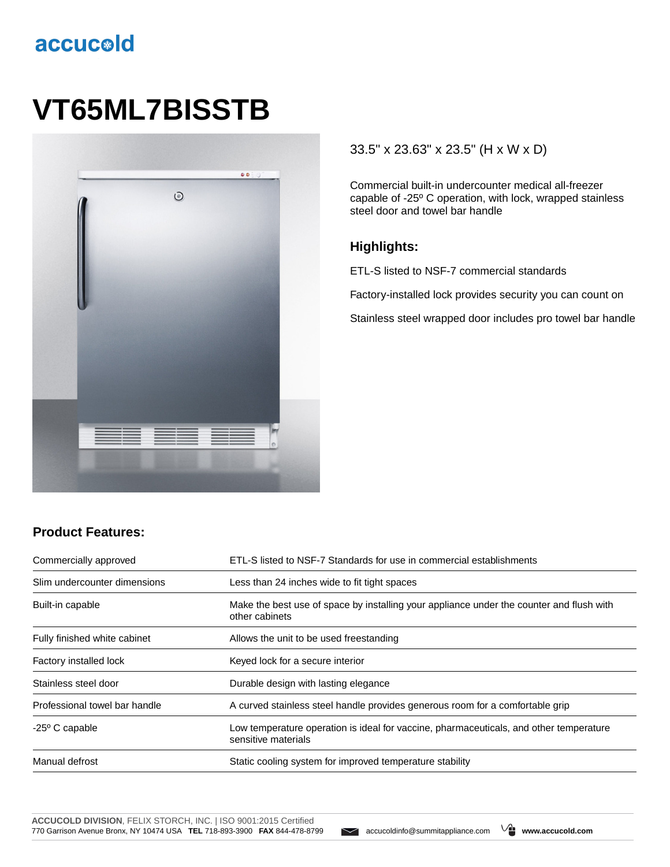# accucold

# **VT65ML7BISSTB**



#### 33.5" x 23.63" x 23.5" (H x W x D)

Commercial built-in undercounter medical all-freezer capable of -25º C operation, with lock, wrapped stainless steel door and towel bar handle

#### **Highlights:**

ETL-S listed to NSF-7 commercial standards

Factory-installed lock provides security you can count on

Stainless steel wrapped door includes pro towel bar handle

### **Product Features:**

| Commercially approved         | ETL-S listed to NSF-7 Standards for use in commercial establishments                                          |
|-------------------------------|---------------------------------------------------------------------------------------------------------------|
| Slim undercounter dimensions  | Less than 24 inches wide to fit tight spaces                                                                  |
| Built-in capable              | Make the best use of space by installing your appliance under the counter and flush with<br>other cabinets    |
| Fully finished white cabinet  | Allows the unit to be used freestanding                                                                       |
| Factory installed lock        | Keyed lock for a secure interior                                                                              |
| Stainless steel door          | Durable design with lasting elegance                                                                          |
| Professional towel bar handle | A curved stainless steel handle provides generous room for a comfortable grip                                 |
| $-25^{\circ}$ C capable       | Low temperature operation is ideal for vaccine, pharmaceuticals, and other temperature<br>sensitive materials |
| Manual defrost                | Static cooling system for improved temperature stability                                                      |